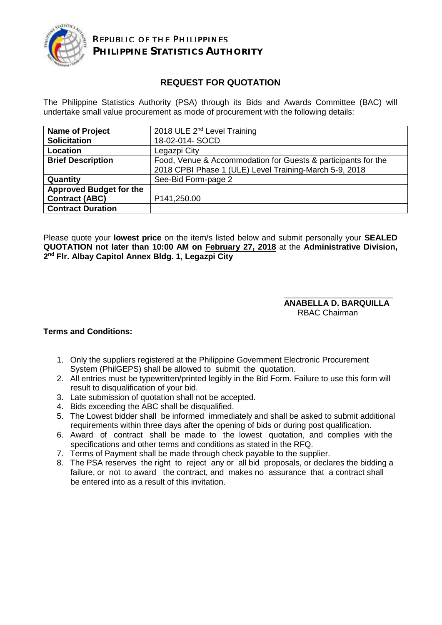

# **REQUEST FOR QUOTATION**

The Philippine Statistics Authority (PSA) through its Bids and Awards Committee (BAC) will undertake small value procurement as mode of procurement with the following details:

| <b>Name of Project</b>         | 2018 ULE 2 <sup>nd</sup> Level Training                                                                                 |  |  |  |
|--------------------------------|-------------------------------------------------------------------------------------------------------------------------|--|--|--|
| <b>Solicitation</b>            | 18-02-014- SOCD                                                                                                         |  |  |  |
| Location                       | Legazpi City                                                                                                            |  |  |  |
| <b>Brief Description</b>       | Food, Venue & Accommodation for Guests & participants for the<br>2018 CPBI Phase 1 (ULE) Level Training-March 5-9, 2018 |  |  |  |
| Quantity                       | See-Bid Form-page 2                                                                                                     |  |  |  |
| <b>Approved Budget for the</b> |                                                                                                                         |  |  |  |
| <b>Contract (ABC)</b>          | P141,250.00                                                                                                             |  |  |  |
| <b>Contract Duration</b>       |                                                                                                                         |  |  |  |

Please quote your **lowest price** on the item/s listed below and submit personally your **SEALED QUOTATION not later than 10:00 AM on February 27, 2018** at the **Administrative Division, 2 nd Flr. Albay Capitol Annex Bldg. 1, Legazpi City**

### \_\_\_\_\_\_\_\_\_\_\_\_\_\_\_\_\_\_\_\_\_\_\_\_ **ANABELLA D. BARQUILLA** RBAC Chairman

### **Terms and Conditions:**

- 1. Only the suppliers registered at the Philippine Government Electronic Procurement System (PhilGEPS) shall be allowed to submit the quotation.
- 2. All entries must be typewritten/printed legibly in the Bid Form. Failure to use this form will result to disqualification of your bid.
- 3. Late submission of quotation shall not be accepted.
- 4. Bids exceeding the ABC shall be disqualified.
- 5. The Lowest bidder shall be informed immediately and shall be asked to submit additional requirements within three days after the opening of bids or during post qualification.
- 6. Award of contract shall be made to the lowest quotation, and complies with the specifications and other terms and conditions as stated in the RFQ.
- 7. Terms of Payment shall be made through check payable to the supplier.
- 8. The PSA reserves the right to reject any or all bid proposals, or declares the bidding a failure, or not to award the contract, and makes no assurance that a contract shall be entered into as a result of this invitation.